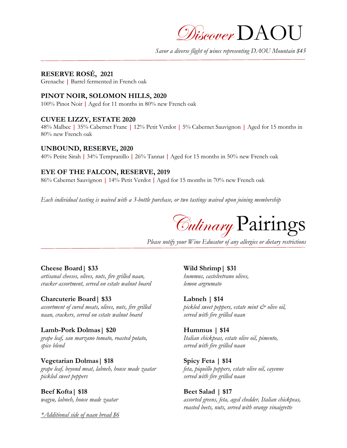Discover DAOU

*Savor a diverse flight of wines representing DAOU Mountain \$45*

# **RESERVE ROSÉ, 2021**

Grenache **|** Barrel fermented in French oak

# **PINOT NOIR, SOLOMON HILLS, 2020**

100% Pinot Noir | Aged for 11 months in 80% new French oak

## **CUVEE LIZZY, ESTATE 2020**

48% Malbec **|** 35% Cabernet Franc **|** 12% Petit Verdot **|** 5% Cabernet Sauvignon **|** Aged for 15 months in 80% new French oak

#### **UNBOUND, RESERVE, 2020**

40% Petite Sirah | 34% Tempranillo | 26% Tannat | Aged for 15 months in 50% new French oak

# **EYE OF THE FALCON, RESERVE, 2019**

86% Cabernet Sauvignon **|** 14% Petit Verdot | Aged for 15 months in 70% new French oak

*Each individual tasting is waived with a 3-bottle purchase, or two tastings waived upon joining membership*

Culinary Pairings

*Please notify your Wine Educator of any allergies or dietary restrictions*

# **Cheese Board| \$33 Wild Shrimp| \$31**

*artisanal cheeses, olives, nuts, fire grilled naan, hummus, castelvetrano olives, cracker assortment, served on estate walnut board lemon argrumato*

## **Charcuterie Board| \$33 Labneh | \$14**

*naan, crackers, served on estate walnut board served with fire grilled naan*

## **Lamb-Pork Dolmas| \$20 Hummus | \$14**

*grape leaf, san marzano tomato, roasted potato, Italian chickpeas, estate olive oil, pimento, spice blend served with fire grilled naan*

## **Vegetarian Dolmas| \$18 Spicy Feta | \$14**

*grape leaf, beyond meat, labneh, house made zaatar feta, piquillo peppers, estate olive oil, cayenne pickled sweet peppers served with fire grilled naan*

**Beef Kofta** | \$18 **Beet Salad** | \$17

*\*Additional side of naan bread \$6*

# *assortment of cured meats, olives, nuts, fire grilled pickled sweet peppers, estate mint & olive oil,*

*wagyu, labneh, house made zaatar assorted greens, feta, aged chedder, Italian chickpeas, roasted beets, nuts, served with orange vinaigrette*